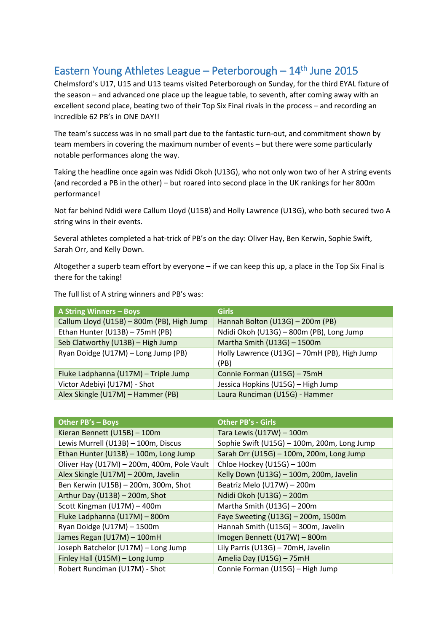## Eastern Young Athletes League - Peterborough - 14<sup>th</sup> June 2015

Chelmsford's U17, U15 and U13 teams visited Peterborough on Sunday, for the third EYAL fixture of the season – and advanced one place up the league table, to seventh, after coming away with an excellent second place, beating two of their Top Six Final rivals in the process – and recording an incredible 62 PB's in ONE DAY!!

The team's success was in no small part due to the fantastic turn-out, and commitment shown by team members in covering the maximum number of events – but there were some particularly notable performances along the way.

Taking the headline once again was Ndidi Okoh (U13G), who not only won two of her A string events (and recorded a PB in the other) – but roared into second place in the UK rankings for her 800m performance!

Not far behind Ndidi were Callum Lloyd (U15B) and Holly Lawrence (U13G), who both secured two A string wins in their events.

Several athletes completed a hat-trick of PB's on the day: Oliver Hay, Ben Kerwin, Sophie Swift, Sarah Orr, and Kelly Down.

Altogether a superb team effort by everyone – if we can keep this up, a place in the Top Six Final is there for the taking!

The full list of A string winners and PB's was:

| <b>A String Winners - Boys</b>             | <b>Girls</b>                                         |
|--------------------------------------------|------------------------------------------------------|
| Callum Lloyd (U15B) - 800m (PB), High Jump | Hannah Bolton (U13G) - 200m (PB)                     |
| Ethan Hunter (U13B) - 75mH (PB)            | Ndidi Okoh (U13G) - 800m (PB), Long Jump             |
| Seb Clatworthy (U13B) - High Jump          | Martha Smith (U13G) - 1500m                          |
| Ryan Doidge (U17M) - Long Jump (PB)        | Holly Lawrence (U13G) - 70mH (PB), High Jump<br>(PB) |
| Fluke Ladphanna (U17M) - Triple Jump       | Connie Forman (U15G) - 75mH                          |
| Victor Adebiyi (U17M) - Shot               | Jessica Hopkins (U15G) - High Jump                   |
| Alex Skingle (U17M) - Hammer (PB)          | Laura Runciman (U15G) - Hammer                       |

| Other PB's - Boys                          | <b>Other PB's - Girls</b>                   |
|--------------------------------------------|---------------------------------------------|
| Kieran Bennett (U15B) - 100m               | Tara Lewis (U17W) - 100m                    |
| Lewis Murrell (U13B) - 100m, Discus        | Sophie Swift (U15G) - 100m, 200m, Long Jump |
| Ethan Hunter (U13B) - 100m, Long Jump      | Sarah Orr (U15G) - 100m, 200m, Long Jump    |
| Oliver Hay (U17M) - 200m, 400m, Pole Vault | Chloe Hockey (U15G) - 100m                  |
| Alex Skingle (U17M) - 200m, Javelin        | Kelly Down (U13G) - 100m, 200m, Javelin     |
| Ben Kerwin (U15B) - 200m, 300m, Shot       | Beatriz Melo (U17W) - 200m                  |
| Arthur Day (U13B) - 200m, Shot             | Ndidi Okoh (U13G) - 200m                    |
| Scott Kingman (U17M) - 400m                | Martha Smith (U13G) - 200m                  |
| Fluke Ladphanna (U17M) - 800m              | Faye Sweeting (U13G) - 200m, 1500m          |
| Ryan Doidge (U17M) - 1500m                 | Hannah Smith (U15G) - 300m, Javelin         |
| James Regan (U17M) - 100mH                 | Imogen Bennett (U17W) - 800m                |
| Joseph Batchelor (U17M) - Long Jump        | Lily Parris (U13G) - 70mH, Javelin          |
| Finley Hall (U15M) - Long Jump             | Amelia Day (U15G) - 75mH                    |
| Robert Runciman (U17M) - Shot              | Connie Forman (U15G) - High Jump            |